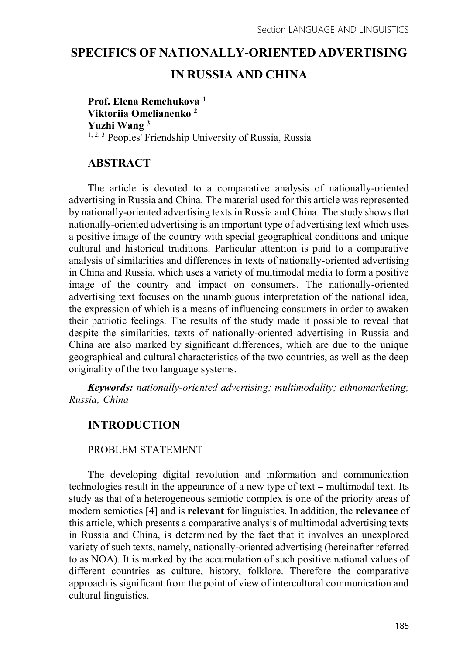# SPECIFICS OF NATIONALLY-ORIENTED ADVERTISING IN RUSSIA AND CHINA

Prof. Elena Remchukova 1 Viktoriia Omelianenko 2 Yuzhi Wang 3 <sup>1, 2, 3</sup> Peoples' Friendship University of Russia, Russia

# ABSTRACT

The article is devoted to a comparative analysis of nationally-oriented advertising in Russia and China. The material used for this article was represented by nationally-oriented advertising texts in Russia and China. The study shows that nationally-oriented advertising is an important type of advertising text which uses a positive image of the country with special geographical conditions and unique cultural and historical traditions. Particular attention is paid to a comparative analysis of similarities and differences in texts of nationally-oriented advertising in China and Russia, which uses a variety of multimodal media to form a positive image of the country and impact on consumers. The nationally-oriented advertising text focuses on the unambiguous interpretation of the national idea, the expression of which is a means of influencing consumers in order to awaken their patriotic feelings. The results of the study made it possible to reveal that despite the similarities, texts of nationally-oriented advertising in Russia and China are also marked by significant differences, which are due to the unique geographical and cultural characteristics of the two countries, as well as the deep originality of the two language systems.

Keywords: nationally-oriented advertising; multimodality; ethnomarketing; Russia; China

# INTRODUCTION

#### PROBLEM STATEMENT

The developing digital revolution and information and communication technologies result in the appearance of a new type of text – multimodal text. Its study as that of a heterogeneous semiotic complex is one of the priority areas of modern semiotics [4] and is relevant for linguistics. In addition, the relevance of this article, which presents a comparative analysis of multimodal advertising texts in Russia and China, is determined by the fact that it involves an unexplored variety of such texts, namely, nationally-oriented advertising (hereinafter referred to as NOA). It is marked by the accumulation of such positive national values of different countries as culture, history, folklore. Therefore the comparative approach is significant from the point of view of intercultural communication and cultural linguistics.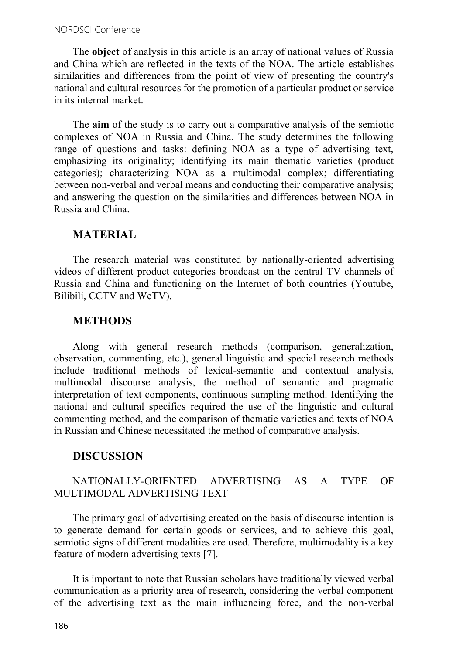The object of analysis in this article is an array of national values of Russia and China which are reflected in the texts of the NOA. The article establishes similarities and differences from the point of view of presenting the country's national and cultural resources for the promotion of a particular product or service in its internal market.

The **aim** of the study is to carry out a comparative analysis of the semiotic complexes of NOA in Russia and China. The study determines the following range of questions and tasks: defining NOA as a type of advertising text, emphasizing its originality; identifying its main thematic varieties (product categories); characterizing NOA as a multimodal complex; differentiating between non-verbal and verbal means and conducting their comparative analysis; and answering the question on the similarities and differences between NOA in Russia and China.

#### **MATERIAL**

The research material was constituted by nationally-oriented advertising videos of different product categories broadcast on the central TV channels of Russia and China and functioning on the Internet of both countries (Youtube, Bilibili, CCTV and WeTV).

#### METHODS

Along with general research methods (comparison, generalization, observation, commenting, etc.), general linguistic and special research methods include traditional methods of lexical-semantic and contextual analysis, multimodal discourse analysis, the method of semantic and pragmatic interpretation of text components, continuous sampling method. Identifying the national and cultural specifics required the use of the linguistic and cultural commenting method, and the comparison of thematic varieties and texts of NOA in Russian and Chinese necessitated the method of comparative analysis.

#### **DISCUSSION**

## NATIONALLY-ORIENTED ADVERTISING AS A TYPE OF MULTIMODAL ADVERTISING TEXT

The primary goal of advertising created on the basis of discourse intention is to generate demand for certain goods or services, and to achieve this goal, semiotic signs of different modalities are used. Therefore, multimodality is a key feature of modern advertising texts [7].

It is important to note that Russian scholars have traditionally viewed verbal communication as a priority area of research, considering the verbal component of the advertising text as the main influencing force, and the non-verbal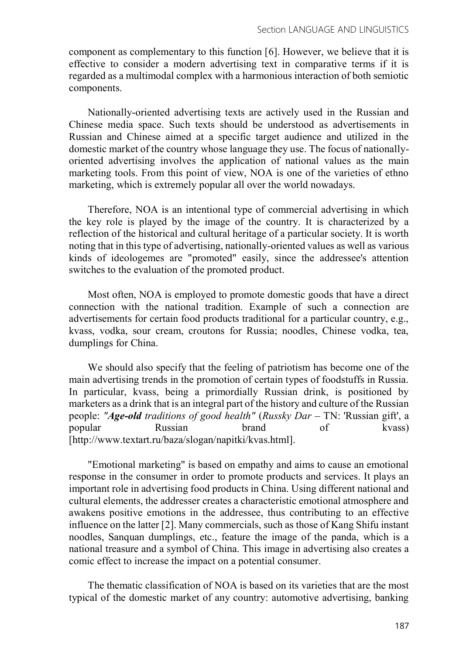component as complementary to this function [6]. However, we believe that it is effective to consider a modern advertising text in comparative terms if it is regarded as a multimodal complex with a harmonious interaction of both semiotic components.

Nationally-oriented advertising texts are actively used in the Russian and Chinese media space. Such texts should be understood as advertisements in Russian and Chinese aimed at a specific target audience and utilized in the domestic market of the country whose language they use. The focus of nationallyoriented advertising involves the application of national values as the main marketing tools. From this point of view, NOA is one of the varieties of ethno marketing, which is extremely popular all over the world nowadays.

Therefore, NOA is an intentional type of commercial advertising in which the key role is played by the image of the country. It is characterized by a reflection of the historical and cultural heritage of a particular society. It is worth noting that in this type of advertising, nationally-oriented values as well as various kinds of ideologemes are "promoted" easily, since the addressee's attention switches to the evaluation of the promoted product.

Most often, NOA is employed to promote domestic goods that have a direct connection with the national tradition. Example of such a connection are advertisements for certain food products traditional for a particular country, e.g., kvass, vodka, sour cream, croutons for Russia; noodles, Chinese vodka, tea, dumplings for China.

We should also specify that the feeling of patriotism has become one of the main advertising trends in the promotion of certain types of foodstuffs in Russia. In particular, kvass, being a primordially Russian drink, is positioned by marketers as a drink that is an integral part of the history and culture of the Russian people: "Age-old traditions of good health" (Russky Dar  $-$  TN: 'Russian gift', a popular Russian brand of kvass) [http://www.textart.ru/baza/slogan/napitki/kvas.html].

"Emotional marketing" is based on empathy and aims to cause an emotional response in the consumer in order to promote products and services. It plays an important role in advertising food products in China. Using different national and cultural elements, the addresser creates a characteristic emotional atmosphere and awakens positive emotions in the addressee, thus contributing to an effective influence on the latter [2]. Many commercials, such as those of Kang Shifu instant noodles, Sanquan dumplings, etc., feature the image of the panda, which is a national treasure and a symbol of China. This image in advertising also creates a comic effect to increase the impact on a potential consumer.

The thematic classification of NOA is based on its varieties that are the most typical of the domestic market of any country: automotive advertising, banking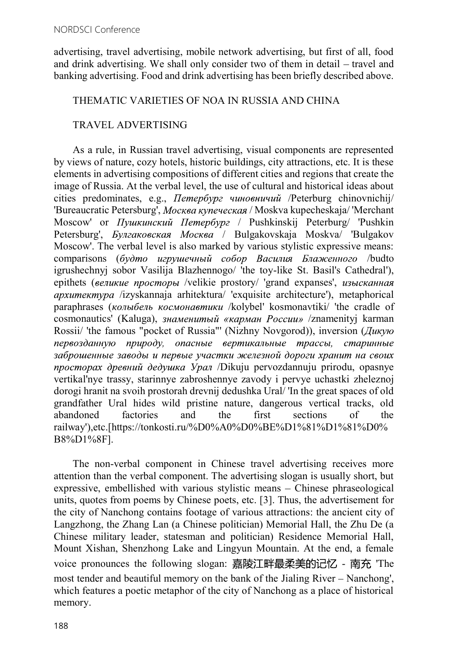advertising, travel advertising, mobile network advertising, but first of all, food and drink advertising. We shall only consider two of them in detail  $-$  travel and banking advertising. Food and drink advertising has been briefly described above.

#### THEMATIC VARIETIES OF NOA IN RUSSIA AND CHINA

## TRAVEL ADVERTISING

As a rule, in Russian travel advertising, visual components are represented by views of nature, cozy hotels, historic buildings, city attractions, etc. It is these elements in advertising compositions of different cities and regions that create the image of Russia. At the verbal level, the use of cultural and historical ideas about cities predominates, e.g., *Петербург чиновничий* /Peterburg chinovnichij/ 'Bureaucratic Petersburg', *Москва купеческая* / Moskva kupecheskaja/ 'Merchant Moscow' or Πγιακαιτικιά Πemepbypa / Pushkinskij Peterburg/ 'Pushkin Petersburg', *Булгаковская Москва* / Bulgakovskaja Moskva/ 'Bulgakov Moscow'. The verbal level is also marked by various stylistic expressive means:  $comparisons$  ( $\delta$ *ydmo uzpywevnый собор Василия Блаженного* /budto igrushechnyj sobor Vasilija Blazhennogo/ 'the toy-like St. Basil's Cathedral'), epithets ( великие просторы /velikie prostory / 'grand expanses', изысканная apxumermypa /izyskannaja arhitektura/ 'exquisite architecture'), metaphorical paraphrases (колыбель космонавтики /kolybel' kosmonavtiki/ 'the cradle of cosmonautics' (Kaluga), знаменитый «карман России» /znamenityj karman Rossii/ 'the famous "pocket of Russia"' (Nizhny Novgorod)), inversion  $(\text{Juwy }$ первозданную природу, опасные вертикальные трассы, старинные заброшенные заводы и первые участки железной дороги хранит на своих просторах древний дедушка Урал /Dikuju pervozdannuju prirodu, opasnye vertikal'nye trassy, starinnye zabroshennye zavody i pervye uchastki zheleznoj dorogi hranit na svoih prostorah drevnij dedushka Ural/ 'In the great spaces of old grandfather Ural hides wild pristine nature, dangerous vertical tracks, old abandoned factories and the first sections of the railway'),etc.[https://tonkosti.ru/%D0%A0%D0%BE%D1%81%D1%81%D0% B8%D1%8F].

The non-verbal component in Chinese travel advertising receives more attention than the verbal component. The advertising slogan is usually short, but expressive, embellished with various stylistic means – Chinese phraseological units, quotes from poems by Chinese poets, etc. [3]. Thus, the advertisement for the city of Nanchong contains footage of various attractions: the ancient city of Langzhong, the Zhang Lan (a Chinese politician) Memorial Hall, the Zhu De (a Chinese military leader, statesman and politician) Residence Memorial Hall, Mount Xishan, Shenzhong Lake and Lingyun Mountain. At the end, a female voice pronounces the following slogan: 嘉陵江畔最柔美的记忆 - 南充 'The most tender and beautiful memory on the bank of the Jialing River – Nanchong', which features a poetic metaphor of the city of Nanchong as a place of historical memory.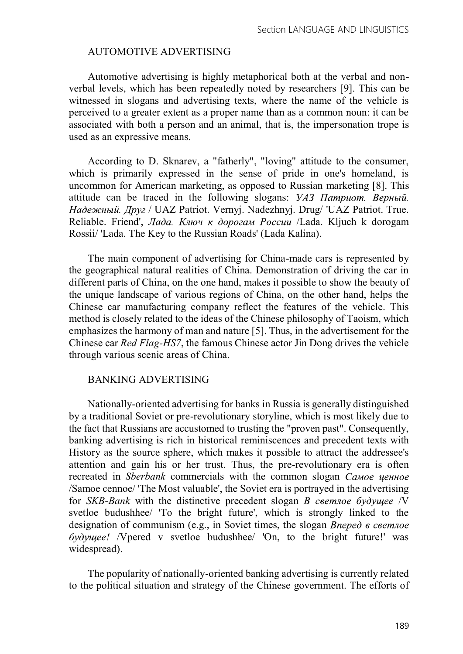#### AUTOMOTIVE ADVERTISING

Automotive advertising is highly metaphorical both at the verbal and nonverbal levels, which has been repeatedly noted by researchers [9]. This can be witnessed in slogans and advertising texts, where the name of the vehicle is perceived to a greater extent as a proper name than as a common noun: it can be associated with both a person and an animal, that is, the impersonation trope is used as an expressive means.

According to D. Sknarev, a "fatherly", "loving" attitude to the consumer, which is primarily expressed in the sense of pride in one's homeland, is uncommon for American marketing, as opposed to Russian marketing [8]. This attitude can be traced in the following slogans: *VA3 Патриот. Верный*. Надежный. Друг / UAZ Patriot. Vernyj. Nadezhnyj. Drug/ 'UAZ Patriot. True. Reliable. Friend',  $Ja\partial a$ .  $Kn\partial y \kappa \partial \partial \rho$  *Roccuu* /Lada. Kljuch k dorogam Rossii/ 'Lada. The Key to the Russian Roads' (Lada Kalina).

The main component of advertising for China-made cars is represented by the geographical natural realities of China. Demonstration of driving the car in different parts of China, on the one hand, makes it possible to show the beauty of the unique landscape of various regions of China, on the other hand, helps the Chinese car manufacturing company reflect the features of the vehicle. This method is closely related to the ideas of the Chinese philosophy of Taoism, which emphasizes the harmony of man and nature [5]. Thus, in the advertisement for the Chinese car Red Flag-HS7, the famous Chinese actor Jin Dong drives the vehicle through various scenic areas of China.

#### BANKING ADVERTISING

Nationally-oriented advertising for banks in Russia is generally distinguished by a traditional Soviet or pre-revolutionary storyline, which is most likely due to the fact that Russians are accustomed to trusting the "proven past". Consequently, banking advertising is rich in historical reminiscences and precedent texts with History as the source sphere, which makes it possible to attract the addressee's attention and gain his or her trust. Thus, the pre-revolutionary era is often recreated in Sberbank commercials with the common slogan *Самое ценное* /Samoe cennoe/ 'The Most valuable', the Soviet era is portrayed in the advertising for SKB-Bank with the distinctive precedent slogan B commonly 6yo  $\partial y$ svetloe budushhee/ 'To the bright future', which is strongly linked to the designation of communism (e.g., in Soviet times, the slogan Bneped в светлое  $\delta$ ydyuee! /Vpered v svetloe budushhee/ 'On, to the bright future!' was widespread).

The popularity of nationally-oriented banking advertising is currently related to the political situation and strategy of the Chinese government. The efforts of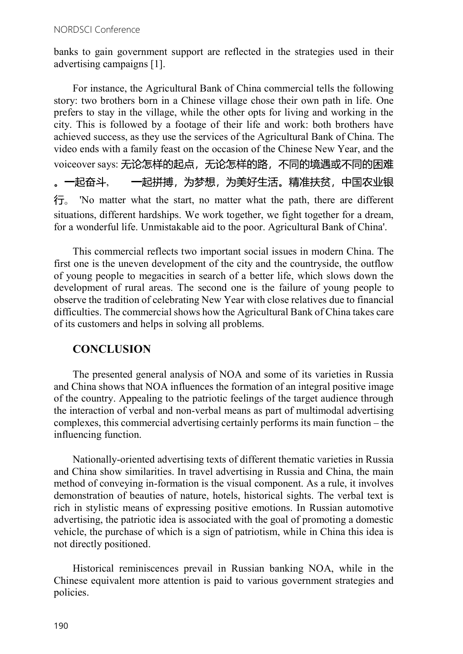banks to gain government support are reflected in the strategies used in their advertising campaigns [1].

For instance, the Agricultural Bank of China commercial tells the following story: two brothers born in a Chinese village chose their own path in life. One prefers to stay in the village, while the other opts for living and working in the city. This is followed by a footage of their life and work: both brothers have achieved success, as they use the services of the Agricultural Bank of China. The video ends with a family feast on the occasion of the Chinese New Year, and the voiceover says: 无论怎样的起点, 无论怎样的路, 不同的境遇或不同的困难 。一起奋斗、 一起拼搏,为梦想,为美好生活。精准扶贫,中国农业银 'No matter what the start, no matter what the path, there are different situations, different hardships. We work together, we fight together for a dream, for a wonderful life. Unmistakable aid to the poor. Agricultural Bank of China'.

This commercial reflects two important social issues in modern China. The first one is the uneven development of the city and the countryside, the outflow of young people to megacities in search of a better life, which slows down the development of rural areas. The second one is the failure of young people to observe the tradition of celebrating New Year with close relatives due to financial difficulties. The commercial shows how the Agricultural Bank of China takes care of its customers and helps in solving all problems.

# **CONCLUSION**

The presented general analysis of NOA and some of its varieties in Russia and China shows that NOA influences the formation of an integral positive image of the country. Appealing to the patriotic feelings of the target audience through the interaction of verbal and non-verbal means as part of multimodal advertising complexes, this commercial advertising certainly performs its main function  $-$  the influencing function.

Nationally-oriented advertising texts of different thematic varieties in Russia and China show similarities. In travel advertising in Russia and China, the main method of conveying in-formation is the visual component. As a rule, it involves demonstration of beauties of nature, hotels, historical sights. The verbal text is rich in stylistic means of expressing positive emotions. In Russian automotive advertising, the patriotic idea is associated with the goal of promoting a domestic vehicle, the purchase of which is a sign of patriotism, while in China this idea is not directly positioned.

Historical reminiscences prevail in Russian banking NOA, while in the Chinese equivalent more attention is paid to various government strategies and policies.